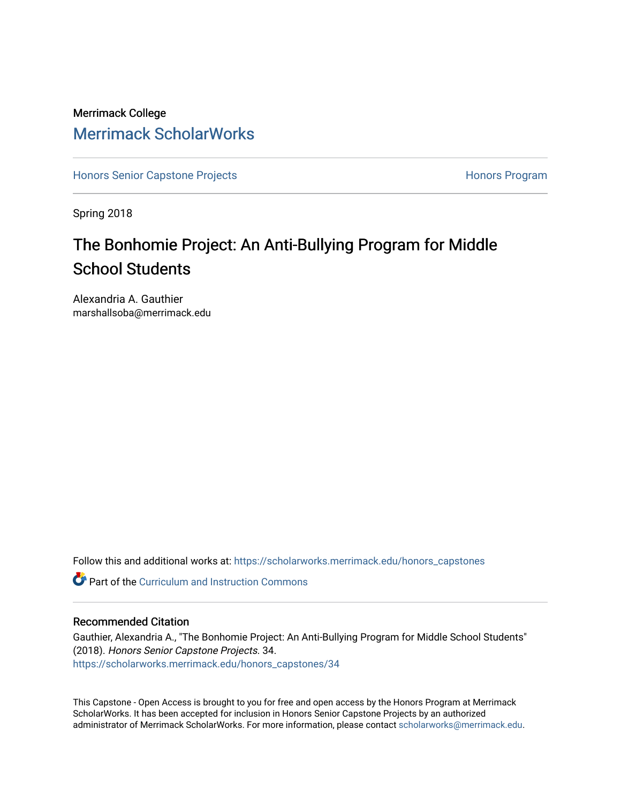## Merrimack College [Merrimack ScholarWorks](https://scholarworks.merrimack.edu/)

[Honors Senior Capstone Projects](https://scholarworks.merrimack.edu/honors_capstones) **Honors Program** Honors Program

Spring 2018

# The Bonhomie Project: An Anti-Bullying Program for Middle School Students

Alexandria A. Gauthier marshallsoba@merrimack.edu

Follow this and additional works at: [https://scholarworks.merrimack.edu/honors\\_capstones](https://scholarworks.merrimack.edu/honors_capstones?utm_source=scholarworks.merrimack.edu%2Fhonors_capstones%2F34&utm_medium=PDF&utm_campaign=PDFCoverPages)

**Part of the Curriculum and Instruction Commons** 

#### Recommended Citation

Gauthier, Alexandria A., "The Bonhomie Project: An Anti-Bullying Program for Middle School Students" (2018). Honors Senior Capstone Projects. 34. [https://scholarworks.merrimack.edu/honors\\_capstones/34](https://scholarworks.merrimack.edu/honors_capstones/34?utm_source=scholarworks.merrimack.edu%2Fhonors_capstones%2F34&utm_medium=PDF&utm_campaign=PDFCoverPages) 

This Capstone - Open Access is brought to you for free and open access by the Honors Program at Merrimack ScholarWorks. It has been accepted for inclusion in Honors Senior Capstone Projects by an authorized administrator of Merrimack ScholarWorks. For more information, please contact [scholarworks@merrimack.edu](mailto:scholarworks@merrimack.edu).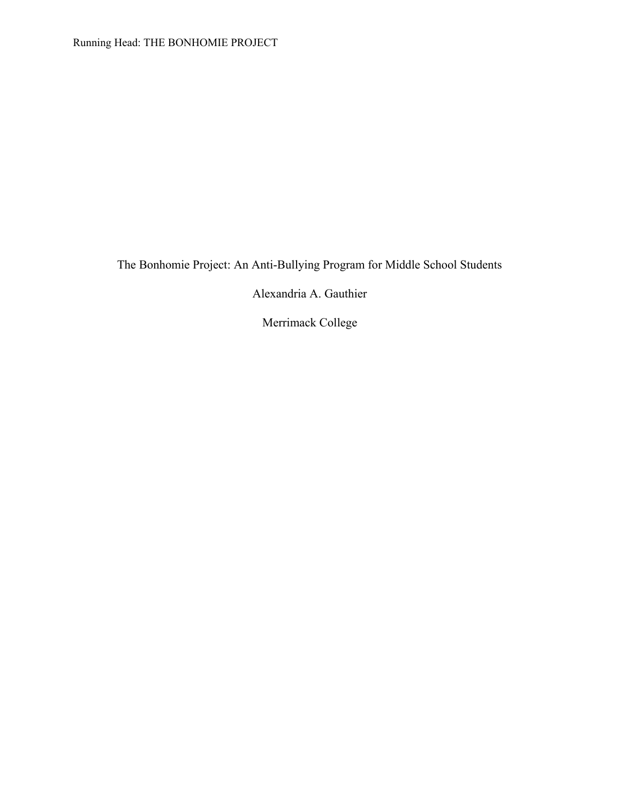The Bonhomie Project: An Anti-Bullying Program for Middle School Students

Alexandria A. Gauthier

Merrimack College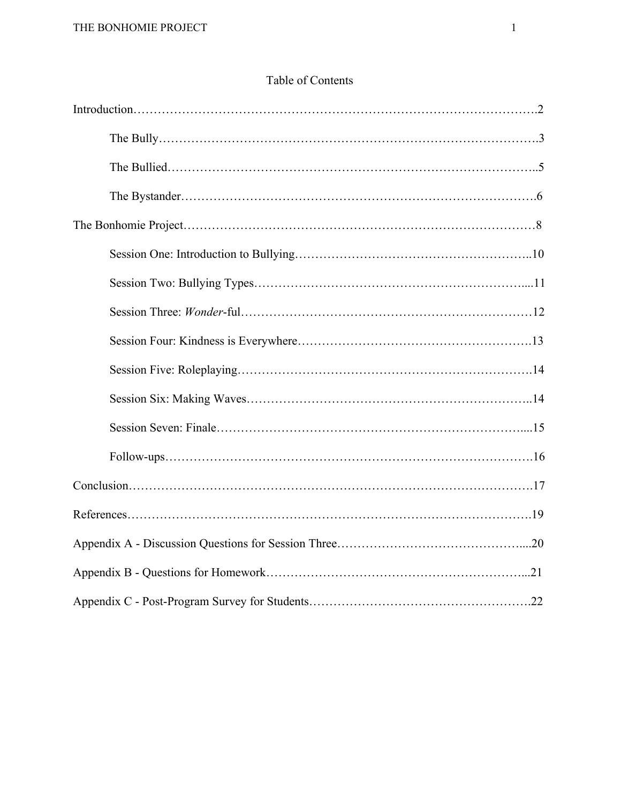## Table of Contents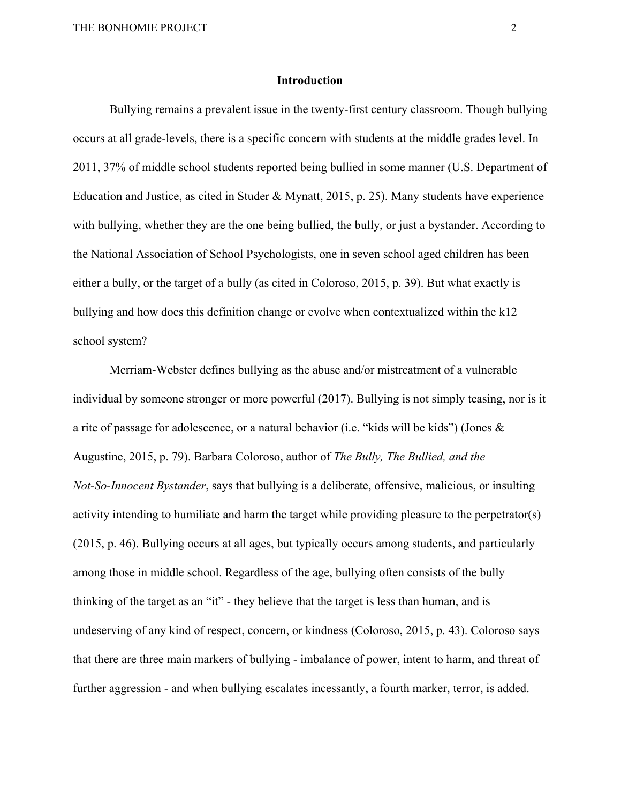#### **Introduction**

Bullying remains a prevalent issue in the twenty-first century classroom. Though bullying occurs at all grade-levels, there is a specific concern with students at the middle grades level. In 2011, 37% of middle school students reported being bullied in some manner (U.S. Department of Education and Justice, as cited in Studer & Mynatt, 2015, p. 25). Many students have experience with bullying, whether they are the one being bullied, the bully, or just a bystander. According to the National Association of School Psychologists, one in seven school aged children has been either a bully, or the target of a bully (as cited in Coloroso, 2015, p. 39). But what exactly is bullying and how does this definition change or evolve when contextualized within the k12 school system?

Merriam-Webster defines bullying as the abuse and/or mistreatment of a vulnerable individual by someone stronger or more powerful (2017). Bullying is not simply teasing, nor is it a rite of passage for adolescence, or a natural behavior (i.e. "kids will be kids") (Jones & Augustine, 2015, p. 79). Barbara Coloroso, author of *The Bully, The Bullied, and the Not-So-Innocent Bystander*, says that bullying is a deliberate, offensive, malicious, or insulting activity intending to humiliate and harm the target while providing pleasure to the perpetrator(s) (2015, p. 46). Bullying occurs at all ages, but typically occurs among students, and particularly among those in middle school. Regardless of the age, bullying often consists of the bully thinking of the target as an "it" - they believe that the target is less than human, and is undeserving of any kind of respect, concern, or kindness (Coloroso, 2015, p. 43). Coloroso says that there are three main markers of bullying - imbalance of power, intent to harm, and threat of further aggression - and when bullying escalates incessantly, a fourth marker, terror, is added.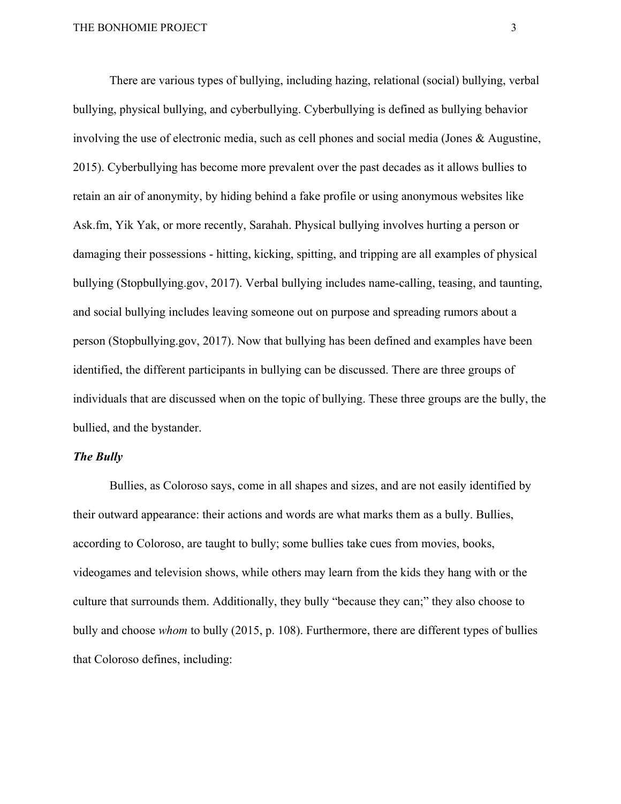There are various types of bullying, including hazing, relational (social) bullying, verbal bullying, physical bullying, and cyberbullying. Cyberbullying is defined as bullying behavior involving the use of electronic media, such as cell phones and social media (Jones & Augustine, 2015). Cyberbullying has become more prevalent over the past decades as it allows bullies to retain an air of anonymity, by hiding behind a fake profile or using anonymous websites like Ask.fm, Yik Yak, or more recently, Sarahah. Physical bullying involves hurting a person or damaging their possessions - hitting, kicking, spitting, and tripping are all examples of physical bullying (Stopbullying.gov, 2017). Verbal bullying includes name-calling, teasing, and taunting, and social bullying includes leaving someone out on purpose and spreading rumors about a person (Stopbullying.gov, 2017). Now that bullying has been defined and examples have been identified, the different participants in bullying can be discussed. There are three groups of individuals that are discussed when on the topic of bullying. These three groups are the bully, the bullied, and the bystander.

#### *The Bully*

Bullies, as Coloroso says, come in all shapes and sizes, and are not easily identified by their outward appearance: their actions and words are what marks them as a bully. Bullies, according to Coloroso, are taught to bully; some bullies take cues from movies, books, videogames and television shows, while others may learn from the kids they hang with or the culture that surrounds them. Additionally, they bully "because they can;" they also choose to bully and choose *whom* to bully (2015, p. 108). Furthermore, there are different types of bullies that Coloroso defines, including: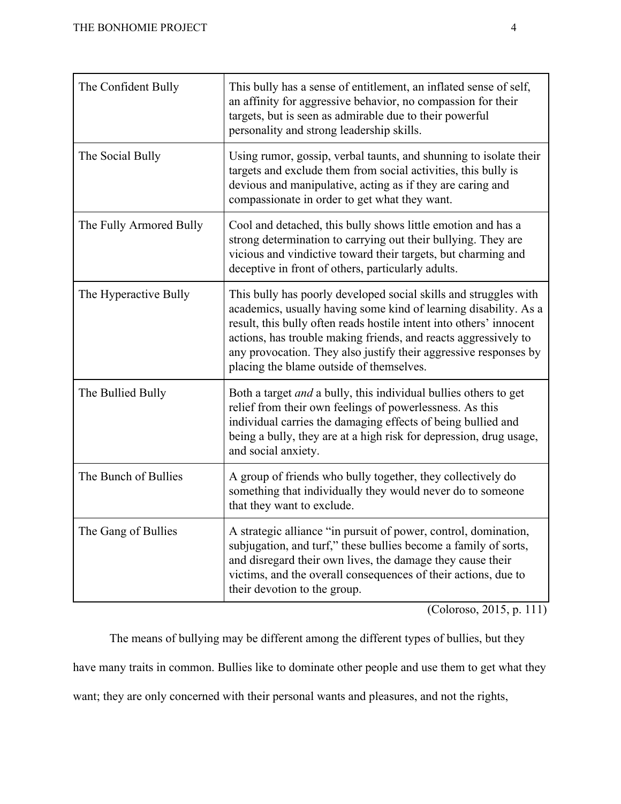| The Confident Bully     | This bully has a sense of entitlement, an inflated sense of self,<br>an affinity for aggressive behavior, no compassion for their<br>targets, but is seen as admirable due to their powerful<br>personality and strong leadership skills.                                                                                                                                                      |
|-------------------------|------------------------------------------------------------------------------------------------------------------------------------------------------------------------------------------------------------------------------------------------------------------------------------------------------------------------------------------------------------------------------------------------|
| The Social Bully        | Using rumor, gossip, verbal taunts, and shunning to isolate their<br>targets and exclude them from social activities, this bully is<br>devious and manipulative, acting as if they are caring and<br>compassionate in order to get what they want.                                                                                                                                             |
| The Fully Armored Bully | Cool and detached, this bully shows little emotion and has a<br>strong determination to carrying out their bullying. They are<br>vicious and vindictive toward their targets, but charming and<br>deceptive in front of others, particularly adults.                                                                                                                                           |
| The Hyperactive Bully   | This bully has poorly developed social skills and struggles with<br>academics, usually having some kind of learning disability. As a<br>result, this bully often reads hostile intent into others' innocent<br>actions, has trouble making friends, and reacts aggressively to<br>any provocation. They also justify their aggressive responses by<br>placing the blame outside of themselves. |
| The Bullied Bully       | Both a target <i>and</i> a bully, this individual bullies others to get<br>relief from their own feelings of powerlessness. As this<br>individual carries the damaging effects of being bullied and<br>being a bully, they are at a high risk for depression, drug usage,<br>and social anxiety.                                                                                               |
| The Bunch of Bullies    | A group of friends who bully together, they collectively do<br>something that individually they would never do to someone<br>that they want to exclude.                                                                                                                                                                                                                                        |
| The Gang of Bullies     | A strategic alliance "in pursuit of power, control, domination,<br>subjugation, and turf," these bullies become a family of sorts,<br>and disregard their own lives, the damage they cause their<br>victims, and the overall consequences of their actions, due to<br>their devotion to the group.                                                                                             |

(Coloroso, 2015, p. 111)

The means of bullying may be different among the different types of bullies, but they

have many traits in common. Bullies like to dominate other people and use them to get what they

want; they are only concerned with their personal wants and pleasures, and not the rights,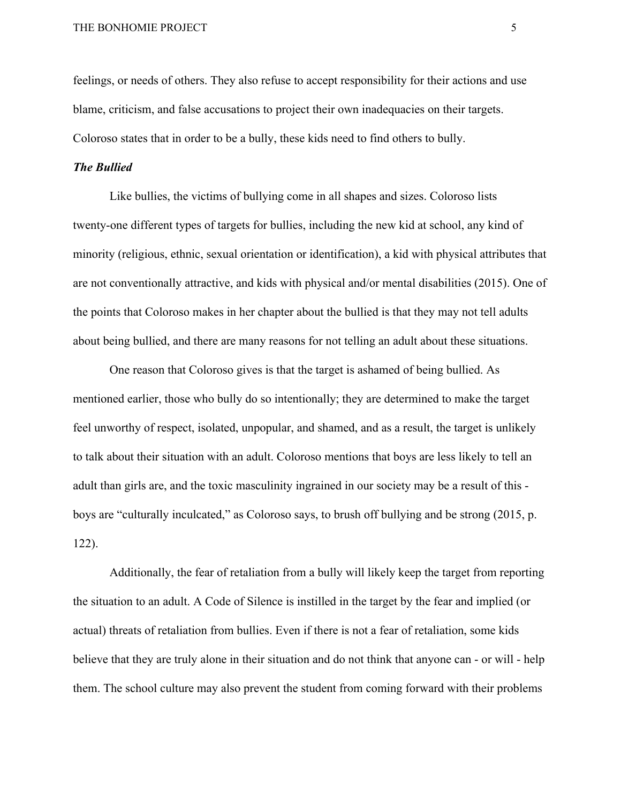feelings, or needs of others. They also refuse to accept responsibility for their actions and use blame, criticism, and false accusations to project their own inadequacies on their targets. Coloroso states that in order to be a bully, these kids need to find others to bully.

#### *The Bullied*

Like bullies, the victims of bullying come in all shapes and sizes. Coloroso lists twenty-one different types of targets for bullies, including the new kid at school, any kind of minority (religious, ethnic, sexual orientation or identification), a kid with physical attributes that are not conventionally attractive, and kids with physical and/or mental disabilities (2015). One of the points that Coloroso makes in her chapter about the bullied is that they may not tell adults about being bullied, and there are many reasons for not telling an adult about these situations.

One reason that Coloroso gives is that the target is ashamed of being bullied. As mentioned earlier, those who bully do so intentionally; they are determined to make the target feel unworthy of respect, isolated, unpopular, and shamed, and as a result, the target is unlikely to talk about their situation with an adult. Coloroso mentions that boys are less likely to tell an adult than girls are, and the toxic masculinity ingrained in our society may be a result of this boys are "culturally inculcated," as Coloroso says, to brush off bullying and be strong (2015, p. 122).

Additionally, the fear of retaliation from a bully will likely keep the target from reporting the situation to an adult. A Code of Silence is instilled in the target by the fear and implied (or actual) threats of retaliation from bullies. Even if there is not a fear of retaliation, some kids believe that they are truly alone in their situation and do not think that anyone can - or will - help them. The school culture may also prevent the student from coming forward with their problems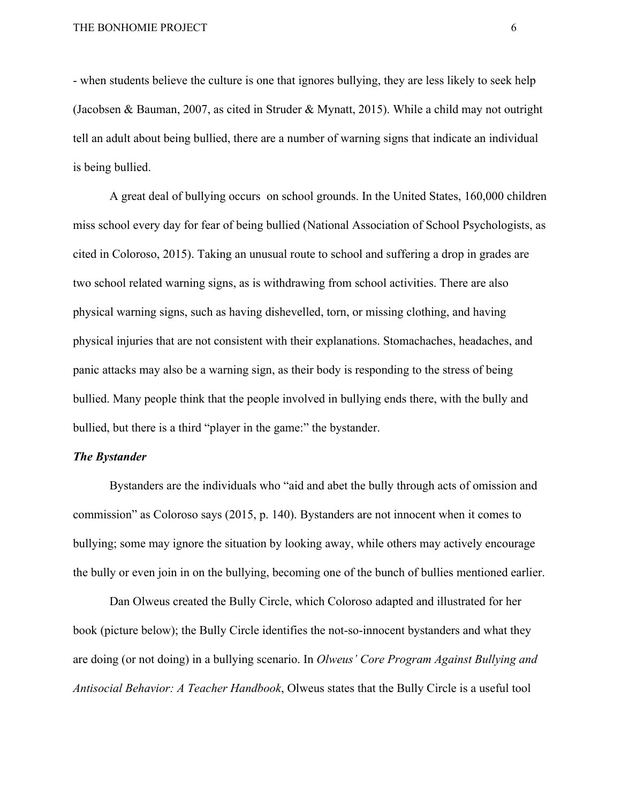- when students believe the culture is one that ignores bullying, they are less likely to seek help (Jacobsen & Bauman, 2007, as cited in Struder & Mynatt, 2015). While a child may not outright tell an adult about being bullied, there are a number of warning signs that indicate an individual is being bullied.

A great deal of bullying occurs on school grounds. In the United States, 160,000 children miss school every day for fear of being bullied (National Association of School Psychologists, as cited in Coloroso, 2015). Taking an unusual route to school and suffering a drop in grades are two school related warning signs, as is withdrawing from school activities. There are also physical warning signs, such as having dishevelled, torn, or missing clothing, and having physical injuries that are not consistent with their explanations. Stomachaches, headaches, and panic attacks may also be a warning sign, as their body is responding to the stress of being bullied. Many people think that the people involved in bullying ends there, with the bully and bullied, but there is a third "player in the game:" the bystander.

#### *The Bystander*

Bystanders are the individuals who "aid and abet the bully through acts of omission and commission" as Coloroso says (2015, p. 140). Bystanders are not innocent when it comes to bullying; some may ignore the situation by looking away, while others may actively encourage the bully or even join in on the bullying, becoming one of the bunch of bullies mentioned earlier.

Dan Olweus created the Bully Circle, which Coloroso adapted and illustrated for her book (picture below); the Bully Circle identifies the not-so-innocent bystanders and what they are doing (or not doing) in a bullying scenario. In *Olweus' Core Program Against Bullying and Antisocial Behavior: A Teacher Handbook*, Olweus states that the Bully Circle is a useful tool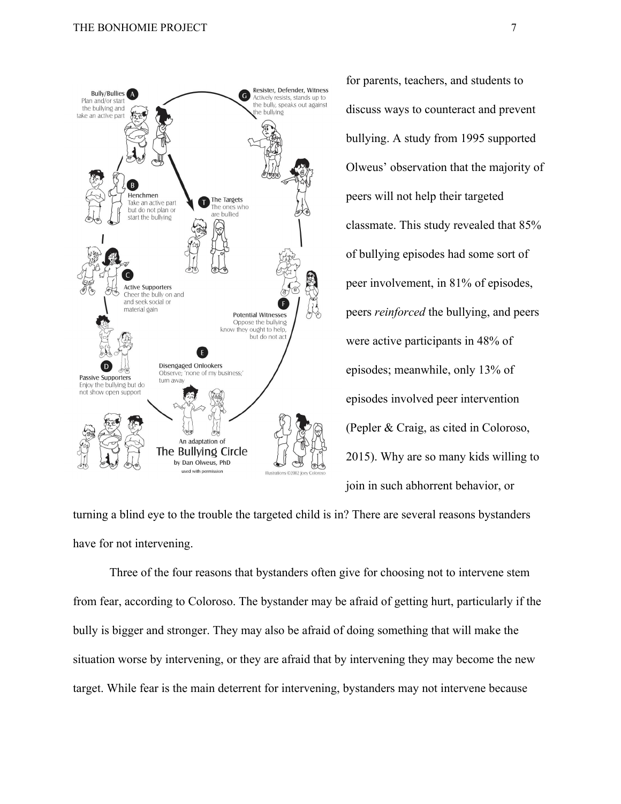

for parents, teachers, and students to discuss ways to counteract and prevent bullying. A study from 1995 supported Olweus' observation that the majority of peers will not help their targeted classmate. This study revealed that 85% of bullying episodes had some sort of peer involvement, in 81% of episodes, peers *reinforced* the bullying, and peers were active participants in 48% of episodes; meanwhile, only 13% of episodes involved peer intervention (Pepler & Craig, as cited in Coloroso, 2015). Why are so many kids willing to join in such abhorrent behavior, or

turning a blind eye to the trouble the targeted child is in? There are several reasons bystanders have for not intervening.

Three of the four reasons that bystanders often give for choosing not to intervene stem from fear, according to Coloroso. The bystander may be afraid of getting hurt, particularly if the bully is bigger and stronger. They may also be afraid of doing something that will make the situation worse by intervening, or they are afraid that by intervening they may become the new target. While fear is the main deterrent for intervening, bystanders may not intervene because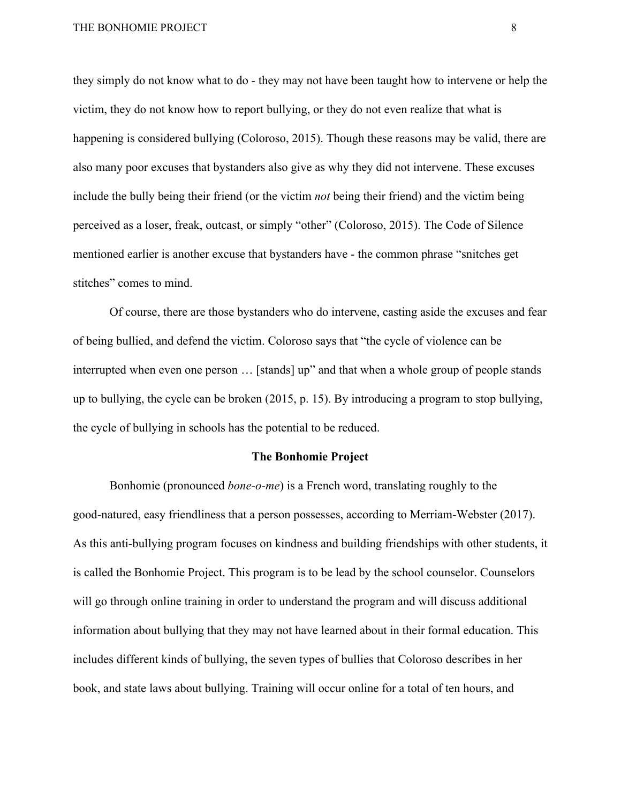they simply do not know what to do - they may not have been taught how to intervene or help the victim, they do not know how to report bullying, or they do not even realize that what is happening is considered bullying (Coloroso, 2015). Though these reasons may be valid, there are also many poor excuses that bystanders also give as why they did not intervene. These excuses include the bully being their friend (or the victim *not* being their friend) and the victim being perceived as a loser, freak, outcast, or simply "other" (Coloroso, 2015). The Code of Silence mentioned earlier is another excuse that bystanders have - the common phrase "snitches get stitches" comes to mind.

Of course, there are those bystanders who do intervene, casting aside the excuses and fear of being bullied, and defend the victim. Coloroso says that "the cycle of violence can be interrupted when even one person … [stands] up" and that when a whole group of people stands up to bullying, the cycle can be broken (2015, p. 15). By introducing a program to stop bullying, the cycle of bullying in schools has the potential to be reduced.

#### **The Bonhomie Project**

Bonhomie (pronounced *bone-o-me*) is a French word, translating roughly to the good-natured, easy friendliness that a person possesses, according to Merriam-Webster (2017). As this anti-bullying program focuses on kindness and building friendships with other students, it is called the Bonhomie Project. This program is to be lead by the school counselor. Counselors will go through online training in order to understand the program and will discuss additional information about bullying that they may not have learned about in their formal education. This includes different kinds of bullying, the seven types of bullies that Coloroso describes in her book, and state laws about bullying. Training will occur online for a total of ten hours, and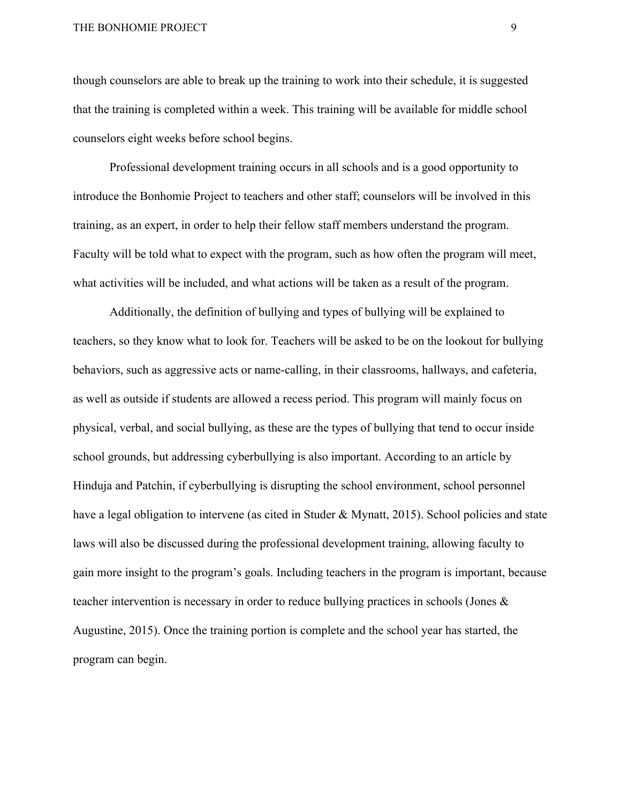though counselors are able to break up the training to work into their schedule, it is suggested that the training is completed within a week. This training will be available for middle school counselors eight weeks before school begins.

Professional development training occurs in all schools and is a good opportunity to introduce the Bonhomie Project to teachers and other staff; counselors will be involved in this training, as an expert, in order to help their fellow staff members understand the program. Faculty will be told what to expect with the program, such as how often the program will meet, what activities will be included, and what actions will be taken as a result of the program.

Additionally, the definition of bullying and types of bullying will be explained to teachers, so they know what to look for. Teachers will be asked to be on the lookout for bullying behaviors, such as aggressive acts or name-calling, in their classrooms, hallways, and cafeteria, as well as outside if students are allowed a recess period. This program will mainly focus on physical, verbal, and social bullying, as these are the types of bullying that tend to occur inside school grounds, but addressing cyberbullying is also important. According to an article by Hinduja and Patchin, if cyberbullying is disrupting the school environment, school personnel have a legal obligation to intervene (as cited in Studer & Mynatt, 2015). School policies and state laws will also be discussed during the professional development training, allowing faculty to gain more insight to the program's goals. Including teachers in the program is important, because teacher intervention is necessary in order to reduce bullying practices in schools (Jones & Augustine, 2015). Once the training portion is complete and the school year has started, the program can begin.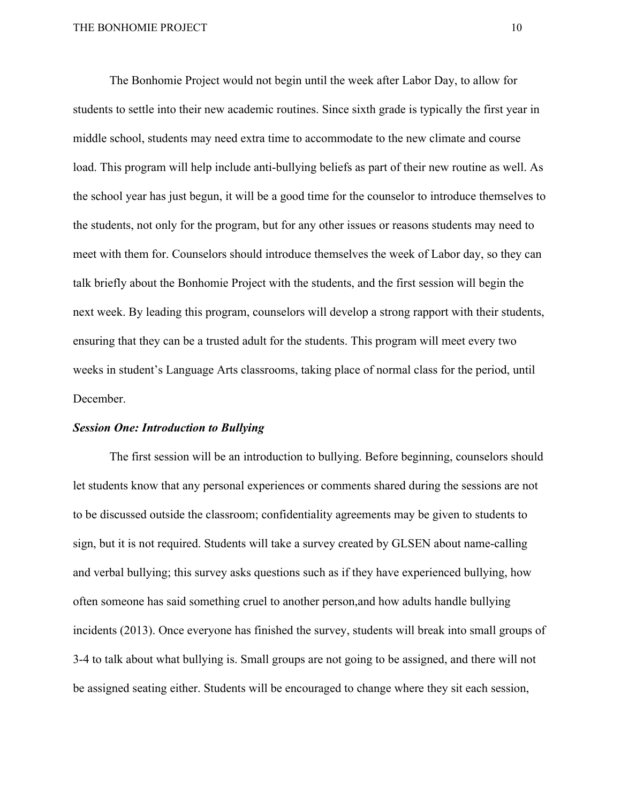The Bonhomie Project would not begin until the week after Labor Day, to allow for students to settle into their new academic routines. Since sixth grade is typically the first year in middle school, students may need extra time to accommodate to the new climate and course load. This program will help include anti-bullying beliefs as part of their new routine as well. As the school year has just begun, it will be a good time for the counselor to introduce themselves to the students, not only for the program, but for any other issues or reasons students may need to meet with them for. Counselors should introduce themselves the week of Labor day, so they can talk briefly about the Bonhomie Project with the students, and the first session will begin the next week. By leading this program, counselors will develop a strong rapport with their students, ensuring that they can be a trusted adult for the students. This program will meet every two weeks in student's Language Arts classrooms, taking place of normal class for the period, until December.

#### *Session One: Introduction to Bullying*

The first session will be an introduction to bullying. Before beginning, counselors should let students know that any personal experiences or comments shared during the sessions are not to be discussed outside the classroom; confidentiality agreements may be given to students to sign, but it is not required. Students will take a survey created by GLSEN about name-calling and verbal bullying; this survey asks questions such as if they have experienced bullying, how often someone has said something cruel to another person,and how adults handle bullying incidents (2013). Once everyone has finished the survey, students will break into small groups of 3-4 to talk about what bullying is. Small groups are not going to be assigned, and there will not be assigned seating either. Students will be encouraged to change where they sit each session,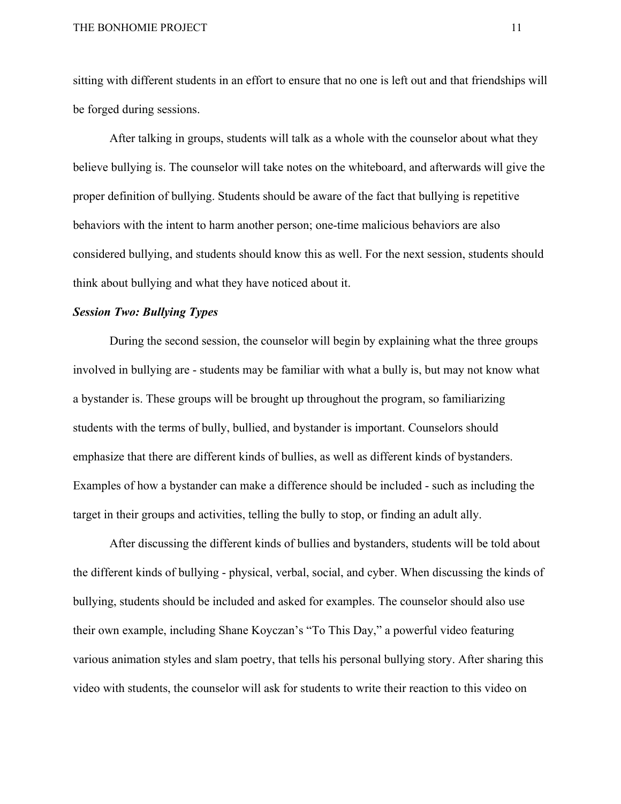sitting with different students in an effort to ensure that no one is left out and that friendships will be forged during sessions.

After talking in groups, students will talk as a whole with the counselor about what they believe bullying is. The counselor will take notes on the whiteboard, and afterwards will give the proper definition of bullying. Students should be aware of the fact that bullying is repetitive behaviors with the intent to harm another person; one-time malicious behaviors are also considered bullying, and students should know this as well. For the next session, students should think about bullying and what they have noticed about it.

#### *Session Two: Bullying Types*

During the second session, the counselor will begin by explaining what the three groups involved in bullying are - students may be familiar with what a bully is, but may not know what a bystander is. These groups will be brought up throughout the program, so familiarizing students with the terms of bully, bullied, and bystander is important. Counselors should emphasize that there are different kinds of bullies, as well as different kinds of bystanders. Examples of how a bystander can make a difference should be included - such as including the target in their groups and activities, telling the bully to stop, or finding an adult ally.

After discussing the different kinds of bullies and bystanders, students will be told about the different kinds of bullying - physical, verbal, social, and cyber. When discussing the kinds of bullying, students should be included and asked for examples. The counselor should also use their own example, including Shane Koyczan's "To This Day," a powerful video featuring various animation styles and slam poetry, that tells his personal bullying story. After sharing this video with students, the counselor will ask for students to write their reaction to this video on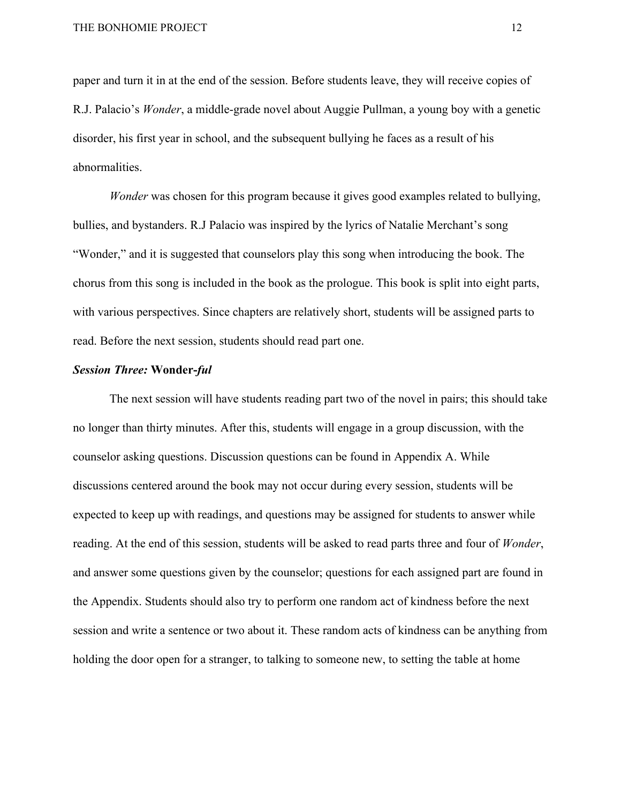paper and turn it in at the end of the session. Before students leave, they will receive copies of R.J. Palacio's *Wonder*, a middle-grade novel about Auggie Pullman, a young boy with a genetic disorder, his first year in school, and the subsequent bullying he faces as a result of his abnormalities.

*Wonder* was chosen for this program because it gives good examples related to bullying, bullies, and bystanders. R.J Palacio was inspired by the lyrics of Natalie Merchant's song "Wonder," and it is suggested that counselors play this song when introducing the book. The chorus from this song is included in the book as the prologue. This book is split into eight parts, with various perspectives. Since chapters are relatively short, students will be assigned parts to read. Before the next session, students should read part one.

#### *Session Three:* **Wonder-***ful*

The next session will have students reading part two of the novel in pairs; this should take no longer than thirty minutes. After this, students will engage in a group discussion, with the counselor asking questions. Discussion questions can be found in Appendix A. While discussions centered around the book may not occur during every session, students will be expected to keep up with readings, and questions may be assigned for students to answer while reading. At the end of this session, students will be asked to read parts three and four of *Wonder*, and answer some questions given by the counselor; questions for each assigned part are found in the Appendix. Students should also try to perform one random act of kindness before the next session and write a sentence or two about it. These random acts of kindness can be anything from holding the door open for a stranger, to talking to someone new, to setting the table at home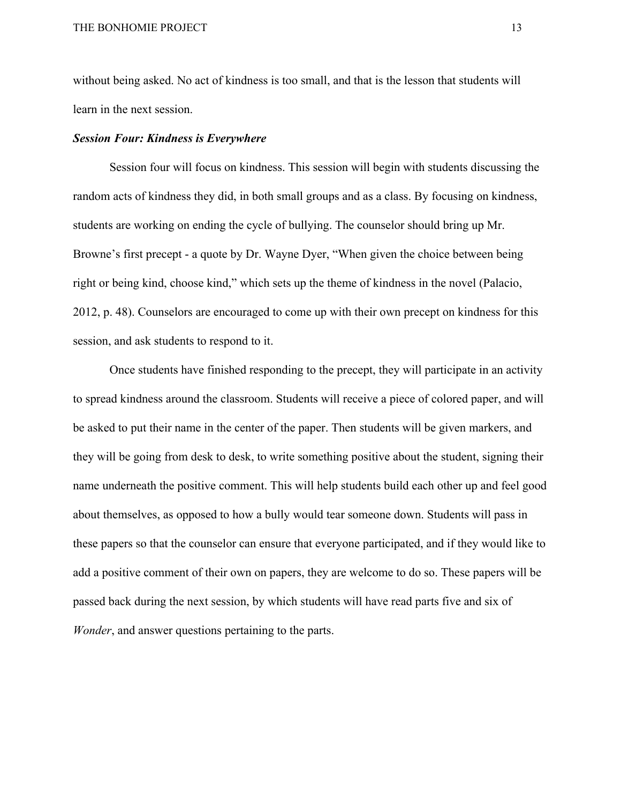without being asked. No act of kindness is too small, and that is the lesson that students will learn in the next session.

#### *Session Four: Kindness is Everywhere*

Session four will focus on kindness. This session will begin with students discussing the random acts of kindness they did, in both small groups and as a class. By focusing on kindness, students are working on ending the cycle of bullying. The counselor should bring up Mr. Browne's first precept - a quote by Dr. Wayne Dyer, "When given the choice between being right or being kind, choose kind," which sets up the theme of kindness in the novel (Palacio, 2012, p. 48). Counselors are encouraged to come up with their own precept on kindness for this session, and ask students to respond to it.

Once students have finished responding to the precept, they will participate in an activity to spread kindness around the classroom. Students will receive a piece of colored paper, and will be asked to put their name in the center of the paper. Then students will be given markers, and they will be going from desk to desk, to write something positive about the student, signing their name underneath the positive comment. This will help students build each other up and feel good about themselves, as opposed to how a bully would tear someone down. Students will pass in these papers so that the counselor can ensure that everyone participated, and if they would like to add a positive comment of their own on papers, they are welcome to do so. These papers will be passed back during the next session, by which students will have read parts five and six of *Wonder*, and answer questions pertaining to the parts.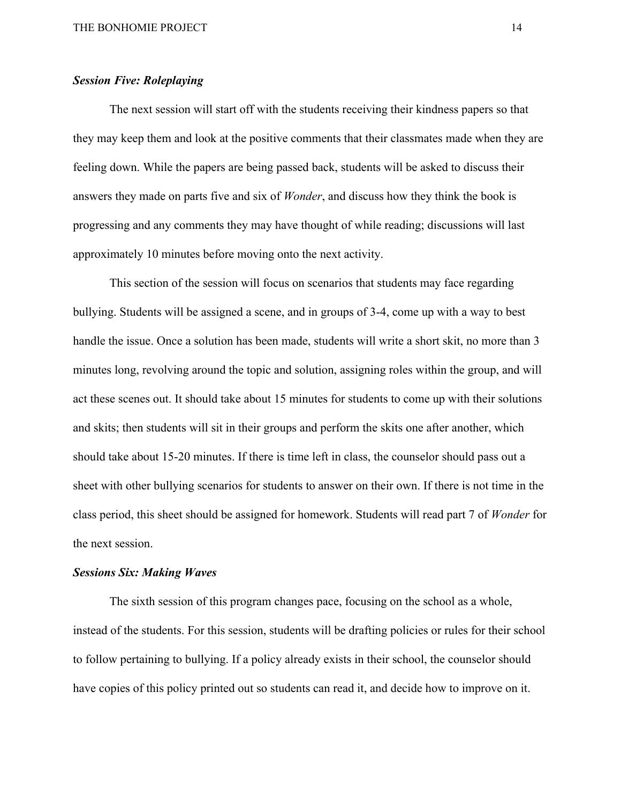#### *Session Five: Roleplaying*

The next session will start off with the students receiving their kindness papers so that they may keep them and look at the positive comments that their classmates made when they are feeling down. While the papers are being passed back, students will be asked to discuss their answers they made on parts five and six of *Wonder*, and discuss how they think the book is progressing and any comments they may have thought of while reading; discussions will last approximately 10 minutes before moving onto the next activity.

This section of the session will focus on scenarios that students may face regarding bullying. Students will be assigned a scene, and in groups of 3-4, come up with a way to best handle the issue. Once a solution has been made, students will write a short skit, no more than 3 minutes long, revolving around the topic and solution, assigning roles within the group, and will act these scenes out. It should take about 15 minutes for students to come up with their solutions and skits; then students will sit in their groups and perform the skits one after another, which should take about 15-20 minutes. If there is time left in class, the counselor should pass out a sheet with other bullying scenarios for students to answer on their own. If there is not time in the class period, this sheet should be assigned for homework. Students will read part 7 of *Wonder* for the next session.

#### *Sessions Six: Making Waves*

The sixth session of this program changes pace, focusing on the school as a whole, instead of the students. For this session, students will be drafting policies or rules for their school to follow pertaining to bullying. If a policy already exists in their school, the counselor should have copies of this policy printed out so students can read it, and decide how to improve on it.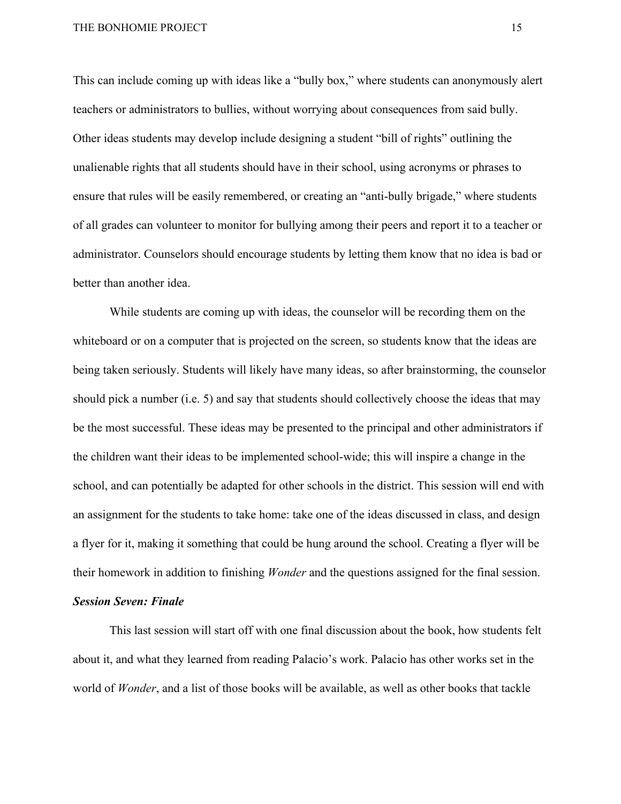This can include coming up with ideas like a "bully box," where students can anonymously alert teachers or administrators to bullies, without worrying about consequences from said bully. Other ideas students may develop include designing a student "bill of rights" outlining the unalienable rights that all students should have in their school, using acronyms or phrases to ensure that rules will be easily remembered, or creating an "anti-bully brigade," where students of all grades can volunteer to monitor for bullying among their peers and report it to a teacher or administrator. Counselors should encourage students by letting them know that no idea is bad or better than another idea.

While students are coming up with ideas, the counselor will be recording them on the whiteboard or on a computer that is projected on the screen, so students know that the ideas are being taken seriously. Students will likely have many ideas, so after brainstorming, the counselor should pick a number (i.e. 5) and say that students should collectively choose the ideas that may be the most successful. These ideas may be presented to the principal and other administrators if the children want their ideas to be implemented school-wide; this will inspire a change in the school, and can potentially be adapted for other schools in the district. This session will end with an assignment for the students to take home: take one of the ideas discussed in class, and design a flyer for it, making it something that could be hung around the school. Creating a flyer will be their homework in addition to finishing *Wonder* and the questions assigned for the final session.

#### *Session Seven: Finale*

This last session will start off with one final discussion about the book, how students felt about it, and what they learned from reading Palacio's work. Palacio has other works set in the world of *Wonder*, and a list of those books will be available, as well as other books that tackle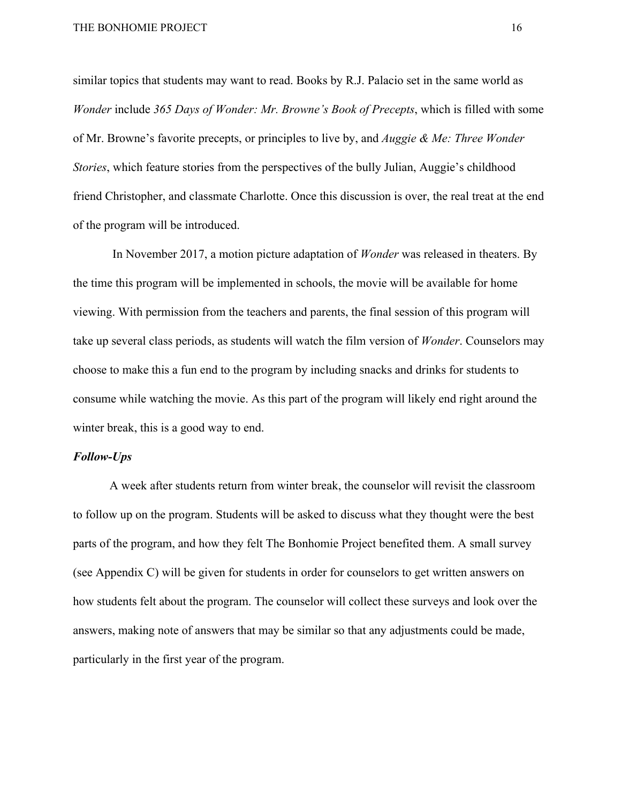similar topics that students may want to read. Books by R.J. Palacio set in the same world as *Wonder* include *365 Days of Wonder: Mr. Browne's Book of Precepts*, which is filled with some of Mr. Browne's favorite precepts, or principles to live by, and *Auggie & Me: Three Wonder Stories*, which feature stories from the perspectives of the bully Julian, Auggie's childhood friend Christopher, and classmate Charlotte. Once this discussion is over, the real treat at the end of the program will be introduced.

 In November 2017, a motion picture adaptation of *Wonder* was released in theaters. By the time this program will be implemented in schools, the movie will be available for home viewing. With permission from the teachers and parents, the final session of this program will take up several class periods, as students will watch the film version of *Wonder*. Counselors may choose to make this a fun end to the program by including snacks and drinks for students to consume while watching the movie. As this part of the program will likely end right around the winter break, this is a good way to end.

#### *Follow-Ups*

A week after students return from winter break, the counselor will revisit the classroom to follow up on the program. Students will be asked to discuss what they thought were the best parts of the program, and how they felt The Bonhomie Project benefited them. A small survey (see Appendix C) will be given for students in order for counselors to get written answers on how students felt about the program. The counselor will collect these surveys and look over the answers, making note of answers that may be similar so that any adjustments could be made, particularly in the first year of the program.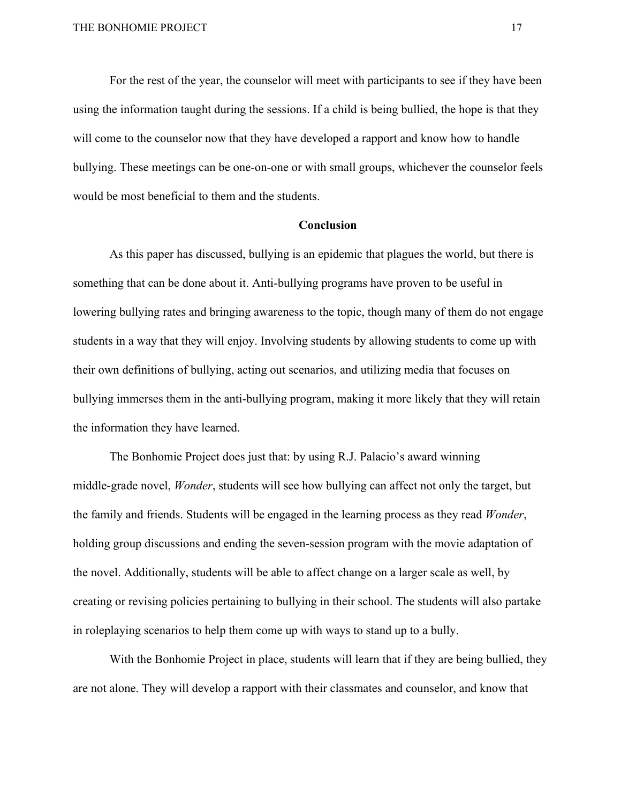For the rest of the year, the counselor will meet with participants to see if they have been using the information taught during the sessions. If a child is being bullied, the hope is that they will come to the counselor now that they have developed a rapport and know how to handle bullying. These meetings can be one-on-one or with small groups, whichever the counselor feels would be most beneficial to them and the students.

#### **Conclusion**

As this paper has discussed, bullying is an epidemic that plagues the world, but there is something that can be done about it. Anti-bullying programs have proven to be useful in lowering bullying rates and bringing awareness to the topic, though many of them do not engage students in a way that they will enjoy. Involving students by allowing students to come up with their own definitions of bullying, acting out scenarios, and utilizing media that focuses on bullying immerses them in the anti-bullying program, making it more likely that they will retain the information they have learned.

The Bonhomie Project does just that: by using R.J. Palacio's award winning middle-grade novel, *Wonder*, students will see how bullying can affect not only the target, but the family and friends. Students will be engaged in the learning process as they read *Wonder*, holding group discussions and ending the seven-session program with the movie adaptation of the novel. Additionally, students will be able to affect change on a larger scale as well, by creating or revising policies pertaining to bullying in their school. The students will also partake in roleplaying scenarios to help them come up with ways to stand up to a bully.

With the Bonhomie Project in place, students will learn that if they are being bullied, they are not alone. They will develop a rapport with their classmates and counselor, and know that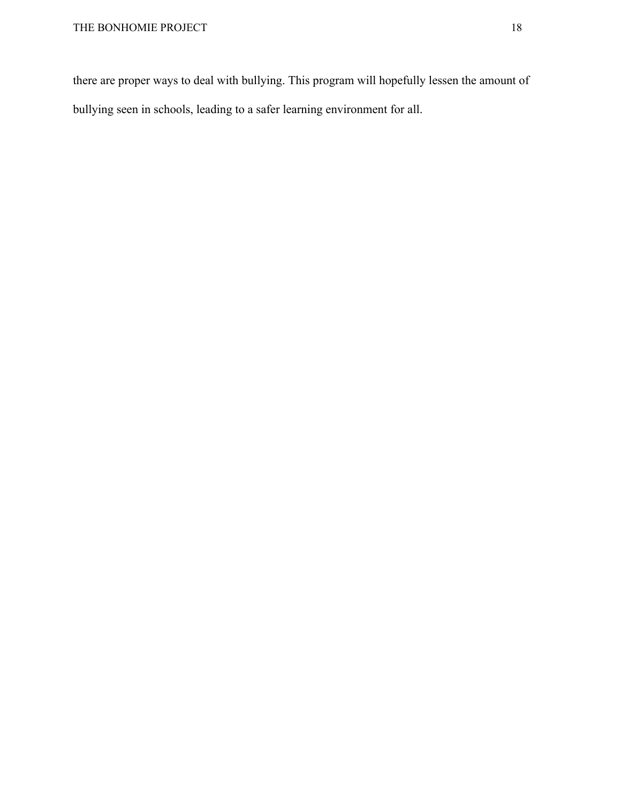there are proper ways to deal with bullying. This program will hopefully lessen the amount of bullying seen in schools, leading to a safer learning environment for all.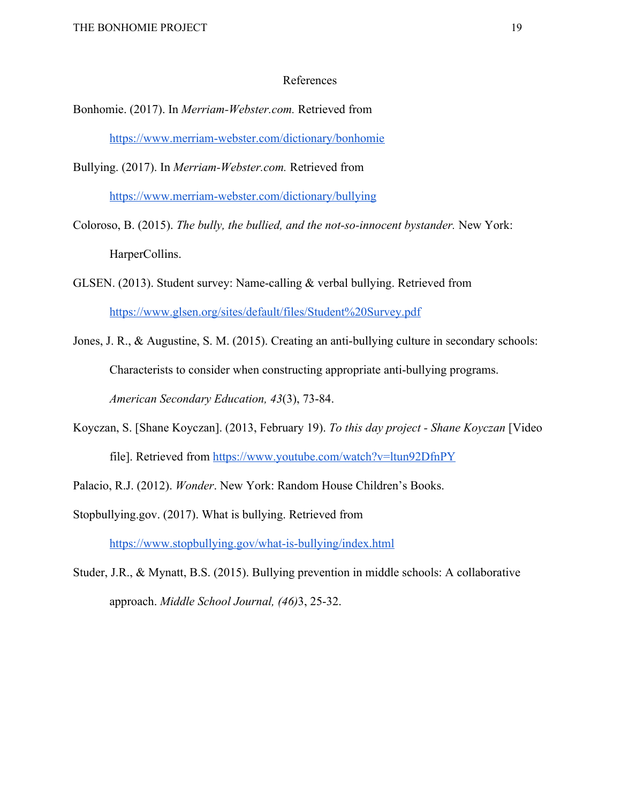#### References

- Bonhomie. (2017). In *Merriam-Webster.com.* Retrieved from <https://www.merriam-webster.com/dictionary/bonhomie>
- Bullying. (2017). In *Merriam-Webster.com.* Retrieved from <https://www.merriam-webster.com/dictionary/bullying>
- Coloroso, B. (2015). *The bully, the bullied, and the not-so-innocent bystander.* New York: HarperCollins.
- GLSEN. (2013). Student survey: Name-calling & verbal bullying. Retrieved from <https://www.glsen.org/sites/default/files/Student%20Survey.pdf>
- Jones, J. R., & Augustine, S. M. (2015). Creating an anti-bullying culture in secondary schools: Characterists to consider when constructing appropriate anti-bullying programs. *American Secondary Education, 43*(3), 73-84.
- Koyczan, S. [Shane Koyczan]. (2013, February 19). *To this day project Shane Koyczan* [Video file]. Retrieved from <https://www.youtube.com/watch?v=ltun92DfnPY>
- Palacio, R.J. (2012). *Wonder*. New York: Random House Children's Books.
- Stopbullying.gov. (2017). What is bullying. Retrieved from <https://www.stopbullying.gov/what-is-bullying/index.html>
- Studer, J.R., & Mynatt, B.S. (2015). Bullying prevention in middle schools: A collaborative approach. *Middle School Journal, (46)*3, 25-32.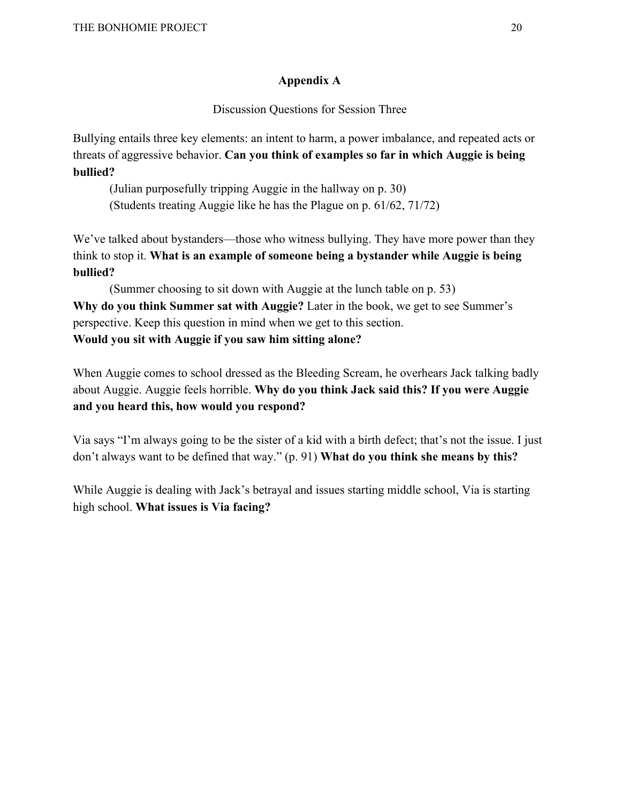## **Appendix A**

Discussion Questions for Session Three

Bullying entails three key elements: an intent to harm, a power imbalance, and repeated acts or threats of aggressive behavior. **Can you think of examples so far in which Auggie is being bullied?**

(Julian purposefully tripping Auggie in the hallway on p. 30) (Students treating Auggie like he has the Plague on p. 61/62, 71/72)

We've talked about bystanders—those who witness bullying. They have more power than they think to stop it. **What is an example of someone being a bystander while Auggie is being bullied?**

(Summer choosing to sit down with Auggie at the lunch table on p. 53) **Why do you think Summer sat with Auggie?** Later in the book, we get to see Summer's perspective. Keep this question in mind when we get to this section. **Would you sit with Auggie if you saw him sitting alone?**

When Auggie comes to school dressed as the Bleeding Scream, he overhears Jack talking badly about Auggie. Auggie feels horrible. **Why do you think Jack said this? If you were Auggie and you heard this, how would you respond?**

Via says "I'm always going to be the sister of a kid with a birth defect; that's not the issue. I just don't always want to be defined that way." (p. 91) **What do you think she means by this?**

While Auggie is dealing with Jack's betrayal and issues starting middle school, Via is starting high school. **What issues is Via facing?**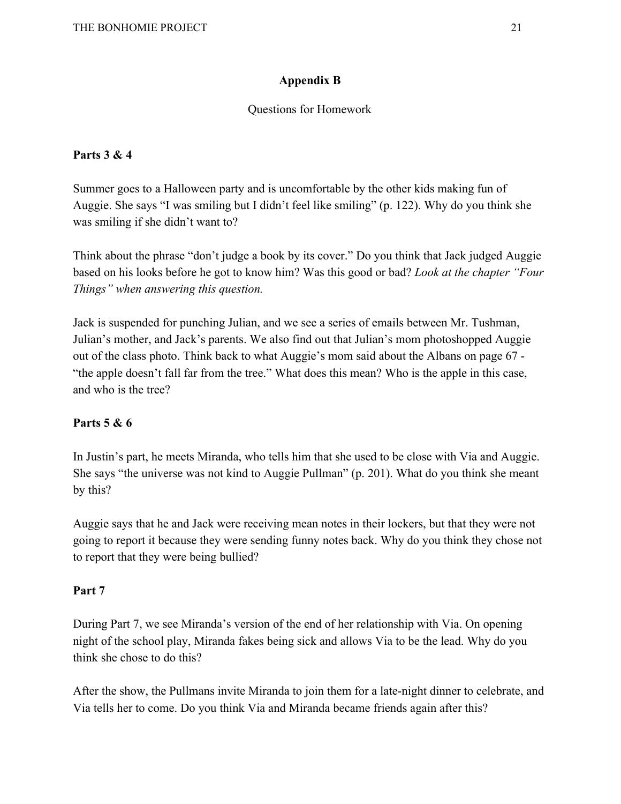## **Appendix B**

## Questions for Homework

## **Parts 3 & 4**

Summer goes to a Halloween party and is uncomfortable by the other kids making fun of Auggie. She says "I was smiling but I didn't feel like smiling" (p. 122). Why do you think she was smiling if she didn't want to?

Think about the phrase "don't judge a book by its cover." Do you think that Jack judged Auggie based on his looks before he got to know him? Was this good or bad? *Look at the chapter "Four Things" when answering this question.*

Jack is suspended for punching Julian, and we see a series of emails between Mr. Tushman, Julian's mother, and Jack's parents. We also find out that Julian's mom photoshopped Auggie out of the class photo. Think back to what Auggie's mom said about the Albans on page 67 - "the apple doesn't fall far from the tree." What does this mean? Who is the apple in this case, and who is the tree?

## **Parts 5 & 6**

In Justin's part, he meets Miranda, who tells him that she used to be close with Via and Auggie. She says "the universe was not kind to Auggie Pullman" (p. 201). What do you think she meant by this?

Auggie says that he and Jack were receiving mean notes in their lockers, but that they were not going to report it because they were sending funny notes back. Why do you think they chose not to report that they were being bullied?

## **Part 7**

During Part 7, we see Miranda's version of the end of her relationship with Via. On opening night of the school play, Miranda fakes being sick and allows Via to be the lead. Why do you think she chose to do this?

After the show, the Pullmans invite Miranda to join them for a late-night dinner to celebrate, and Via tells her to come. Do you think Via and Miranda became friends again after this?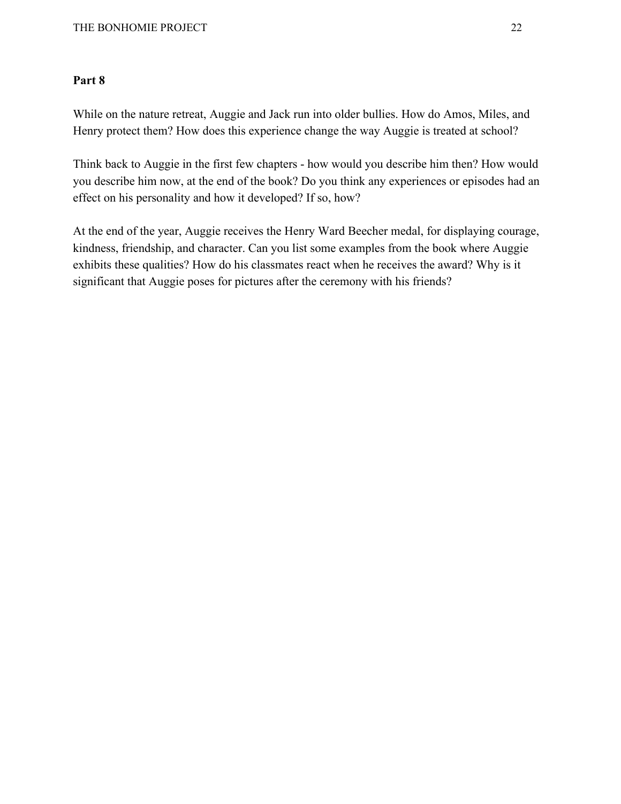## **Part 8**

While on the nature retreat, Auggie and Jack run into older bullies. How do Amos, Miles, and Henry protect them? How does this experience change the way Auggie is treated at school?

Think back to Auggie in the first few chapters - how would you describe him then? How would you describe him now, at the end of the book? Do you think any experiences or episodes had an effect on his personality and how it developed? If so, how?

At the end of the year, Auggie receives the Henry Ward Beecher medal, for displaying courage, kindness, friendship, and character. Can you list some examples from the book where Auggie exhibits these qualities? How do his classmates react when he receives the award? Why is it significant that Auggie poses for pictures after the ceremony with his friends?